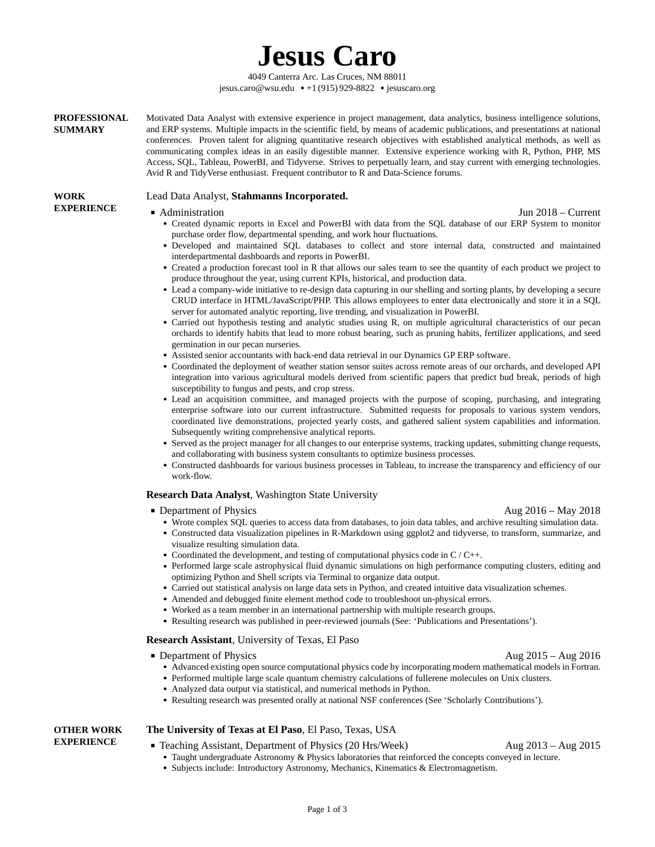# **Jesus Caro**

4049 Canterra Arc. Las Cruces, NM 88011 [jesus.caro@wsu.edu](mailto:jesus.caro@wsu.edu) ● +1 (915) 929-8822 ● [jesuscaro.org](http://www.jesuscaro.org)

<span id="page-0-0"></span>**PROFESSIONAL SUMMARY** Motivated Data Analyst with extensive experience in project management, data analytics, business intelligence solutions, and ERP systems. Multiple impacts in the scientific field, by means of academic publications, and presentations at national conferences. Proven talent for aligning quantitative research objectives with established analytical methods, as well as communicating complex ideas in an easily digestible manner. Extensive experience working with R, Python, PHP, MS Access, SQL, Tableau, PowerBI, and Tidyverse. Strives to perpetually learn, and stay current with emerging technologies. Avid R and TidyVerse enthusiast. Frequent contributor to R and Data-Science forums.

#### [Lead Data Analyst](https://www.stahmannpecan.com/), **Stahmanns Incorporated.**

**WORK EXPERIENCE**

■ Administration Jun 2018 – Current

- Created dynamic reports in Excel and PowerBI with data from the SQL database of our ERP System to monitor purchase order flow, departmental spending, and work hour fluctuations.
- Developed and maintained SQL databases to collect and store internal data, constructed and maintained interdepartmental dashboards and reports in PowerBI.
- Created a production forecast tool in R that allows our sales team to see the quantity of each product we project to produce throughout the year, using current KPIs, historical, and production data.
- Lead a company-wide initiative to re-design data capturing in our shelling and sorting plants, by developing a secure CRUD interface in HTML/JavaScript/PHP. This allows employees to enter data electronically and store it in a SQL server for automated analytic reporting, live trending, and visualization in PowerBI.
- Carried out hypothesis testing and analytic studies using R, on multiple agricultural characteristics of our pecan orchards to identify habits that lead to more robust bearing, such as pruning habits, fertilizer applications, and seed germination in our pecan nurseries.
- Assisted senior accountants with back-end data retrieval in our Dynamics GP ERP software.
- Coordinated the deployment of weather station sensor suites across remote areas of our orchards, and developed API integration into various agricultural models derived from scientific papers that predict bud break, periods of high susceptibility to fungus and pests, and crop stress.
- Lead an acquisition committee, and managed projects with the purpose of scoping, purchasing, and integrating enterprise software into our current infrastructure. Submitted requests for proposals to various system vendors, coordinated live demonstrations, projected yearly costs, and gathered salient system capabilities and information. Subsequently writing comprehensive analytical reports.
- Served as the project manager for all changes to our enterprise systems, tracking updates, submitting change requests, and collaborating with business system consultants to optimize business processes.
- Constructed dashboards for various business processes in Tableau, to increase the transparency and efficiency of our work-flow.

## **[Research Data Analyst](https://physics.wsu.edu/)**, Washington State University

- Department of Physics Aug 2016 May 2018
	- Wrote complex SQL queries to access data from databases, to join data tables, and archive resulting simulation data. ● Constructed data visualization pipelines in R-Markdown using ggplot2 and tidyverse, to transform, summarize, and visualize resulting simulation data.
	- Coordinated the development, and testing of computational physics code in C  $/$  C++.
	- Performed large scale astrophysical fluid dynamic simulations on high performance computing clusters, editing and optimizing Python and Shell scripts via Terminal to organize data output.
	- Carried out statistical analysis on large data sets in Python, and created intuitive data visualization schemes.
	- Amended and debugged finite element method code to troubleshoot un-physical errors.
	- Worked as a team member in an international partnership with multiple research groups.
	- Resulting research was published in peer-reviewed journals (See: 'Publications and Presentations').

#### **[Research Assistant](https://science.utep.edu/physics/)**, University of Texas, El Paso

- Department of Physics Aug 2015 Aug 2016
	- Advanced existing open source computational physics code by incorporating modern mathematical models in Fortran.
	- Performed multiple large scale quantum chemistry calculations of fullerene molecules on Unix clusters.
	- Analyzed data output via statistical, and numerical methods in Python.
	- Resulting research was presented orally at national NSF conferences (See 'Scholarly Contributions').

**OTHER WORK EXPERIENCE**

- **[The University of Texas at El Paso](https://science.utep.edu/physics/)**, El Paso, Texas, USA
	- Teaching Assistant, Department of Physics (20 Hrs/Week) Aug 2013 Aug 2015
		- Taught undergraduate Astronomy & Physics laboratories that reinforced the concepts conveyed in lecture.
		- Subjects include: Introductory Astronomy, Mechanics, Kinematics & Electromagnetism.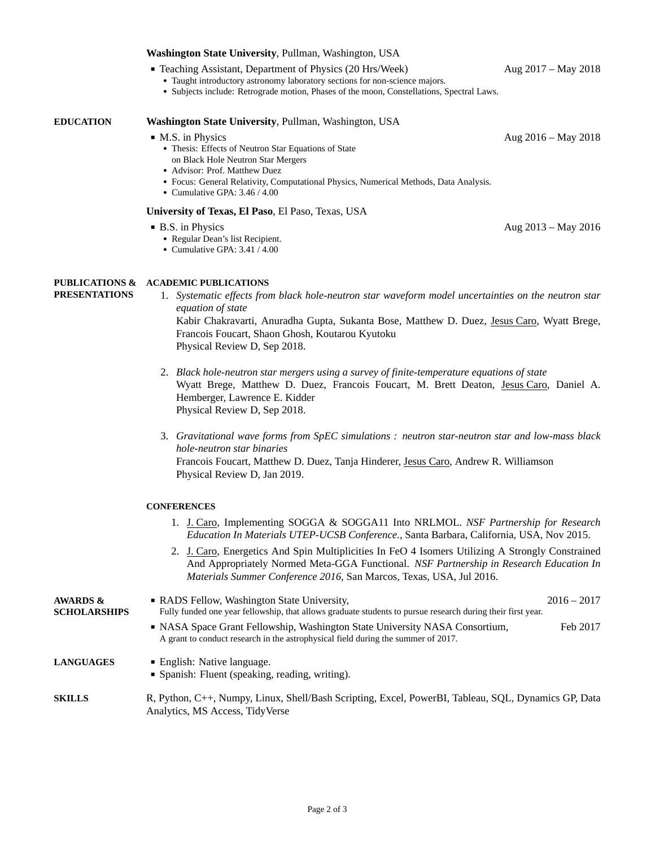# **[Washington State University](https://physics.wsu.edu)**, Pullman, Washington, USA

● Thesis: Effects of Neutron Star Equations of State

**EDUCATION [Washington State University](https://physics.wsu.edu/)**, Pullman, Washington, USA

on Black Hole Neutron Star Mergers ● Advisor: Prof. Matthew Duez

- Teaching Assistant, Department of Physics (20 Hrs/Week) Aug 2017 May 2018
	- Taught introductory astronomy laboratory sections for non-science majors.
	- Subjects include: Retrograde motion, Phases of the moon, Constellations, Spectral Laws.

● Focus: General Relativity, Computational Physics, Numerical Methods, Data Analysis.

|                                                   | • Cumulative GPA: 3.46 / 4.00                                                                                                                                                                                                                                                                                                                                                                                                                      |
|---------------------------------------------------|----------------------------------------------------------------------------------------------------------------------------------------------------------------------------------------------------------------------------------------------------------------------------------------------------------------------------------------------------------------------------------------------------------------------------------------------------|
|                                                   | University of Texas, El Paso, El Paso, Texas, USA<br>• B.S. in Physics<br>Aug 2013 - May 2016<br>• Regular Dean's list Recipient.<br>• Cumulative GPA: 3.41 / 4.00                                                                                                                                                                                                                                                                                 |
| <b>PUBLICATIONS &amp;</b><br><b>PRESENTATIONS</b> | <b>ACADEMIC PUBLICATIONS</b><br>1. Systematic effects from black hole-neutron star waveform model uncertainties on the neutron star<br>equation of state<br>Kabir Chakravarti, Anuradha Gupta, Sukanta Bose, Matthew D. Duez, Jesus Caro, Wyatt Brege,<br>Francois Foucart, Shaon Ghosh, Koutarou Kyutoku<br>Physical Review D, Sep 2018.                                                                                                          |
|                                                   | 2. Black hole-neutron star mergers using a survey of finite-temperature equations of state<br>Wyatt Brege, Matthew D. Duez, Francois Foucart, M. Brett Deaton, Jesus Caro, Daniel A.<br>Hemberger, Lawrence E. Kidder<br>Physical Review D, Sep 2018.                                                                                                                                                                                              |
|                                                   | 3. Gravitational wave forms from SpEC simulations : neutron star-neutron star and low-mass black<br>hole-neutron star binaries<br>Francois Foucart, Matthew D. Duez, Tanja Hinderer, Jesus Caro, Andrew R. Williamson<br>Physical Review D, Jan 2019.                                                                                                                                                                                              |
|                                                   | <b>CONFERENCES</b>                                                                                                                                                                                                                                                                                                                                                                                                                                 |
|                                                   | 1. J. Caro, Implementing SOGGA & SOGGA11 Into NRLMOL. NSF Partnership for Research<br>Education In Materials UTEP-UCSB Conference., Santa Barbara, California, USA, Nov 2015.<br>2. J. Caro, Energetics And Spin Multiplicities In FeO 4 Isomers Utilizing A Strongly Constrained<br>And Appropriately Normed Meta-GGA Functional. NSF Partnership in Research Education In<br>Materials Summer Conference 2016, San Marcos, Texas, USA, Jul 2016. |
| <b>AWARDS &amp;</b><br><b>SCHOLARSHIPS</b>        | • RADS Fellow, Washington State University,<br>$2016 - 2017$<br>Fully funded one year fellowship, that allows graduate students to pursue research during their first year.<br>• NASA Space Grant Fellowship, Washington State University NASA Consortium,<br>Feb 2017<br>A grant to conduct research in the astrophysical field during the summer of 2017.                                                                                        |
| <b>LANGUAGES</b>                                  | ■ English: Native language.<br>• Spanish: Fluent (speaking, reading, writing).                                                                                                                                                                                                                                                                                                                                                                     |
| <b>SKILLS</b>                                     | R, Python, C++, Numpy, Linux, Shell/Bash Scripting, Excel, PowerBI, Tableau, SQL, Dynamics GP, Data<br>Analytics, MS Access, TidyVerse                                                                                                                                                                                                                                                                                                             |

■ M.S. in [Physics](https://physics.wsu.edu/) Aug 2016 – May 2018